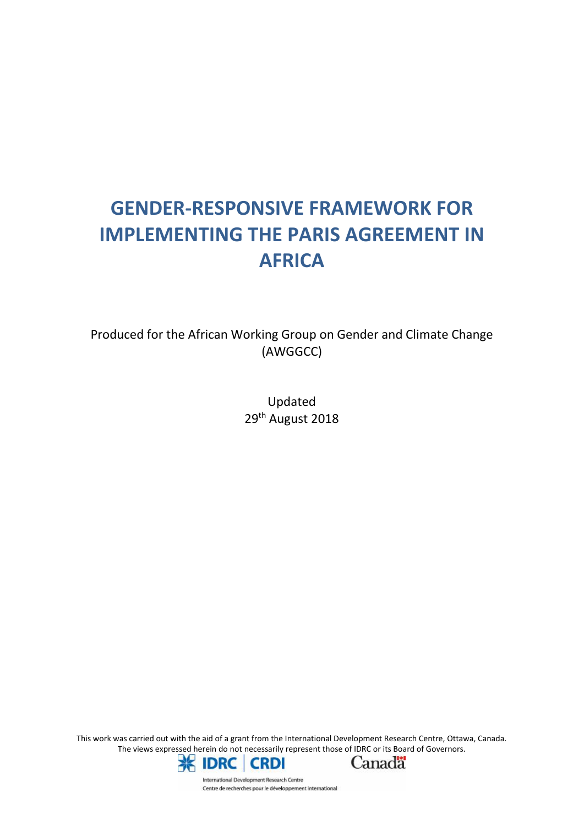# **GENDER-RESPONSIVE FRAMEWORK FOR IMPLEMENTING THE PARIS AGREEMENT IN AFRICA**

Produced for the African Working Group on Gender and Climate Change (AWGGCC)

> Updated 29<sup>th</sup> August 2018

This work was carried out with the aid of a grant from the International Development Research Centre, Ottawa, Canada. The views expressed herein do not necessarily represent those of IDRC or its Board of Governors.





International Development Research Centre Centre de recherches pour le développement international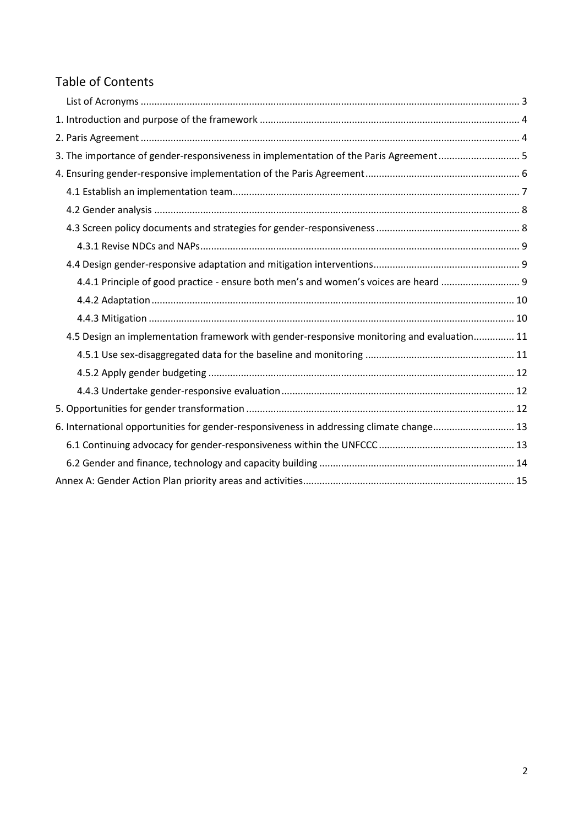# Table of Contents

| 3. The importance of gender-responsiveness in implementation of the Paris Agreement 5      |  |
|--------------------------------------------------------------------------------------------|--|
|                                                                                            |  |
|                                                                                            |  |
|                                                                                            |  |
|                                                                                            |  |
|                                                                                            |  |
|                                                                                            |  |
| 4.4.1 Principle of good practice - ensure both men's and women's voices are heard          |  |
|                                                                                            |  |
|                                                                                            |  |
| 4.5 Design an implementation framework with gender-responsive monitoring and evaluation 11 |  |
|                                                                                            |  |
|                                                                                            |  |
|                                                                                            |  |
|                                                                                            |  |
| 6. International opportunities for gender-responsiveness in addressing climate change 13   |  |
|                                                                                            |  |
|                                                                                            |  |
|                                                                                            |  |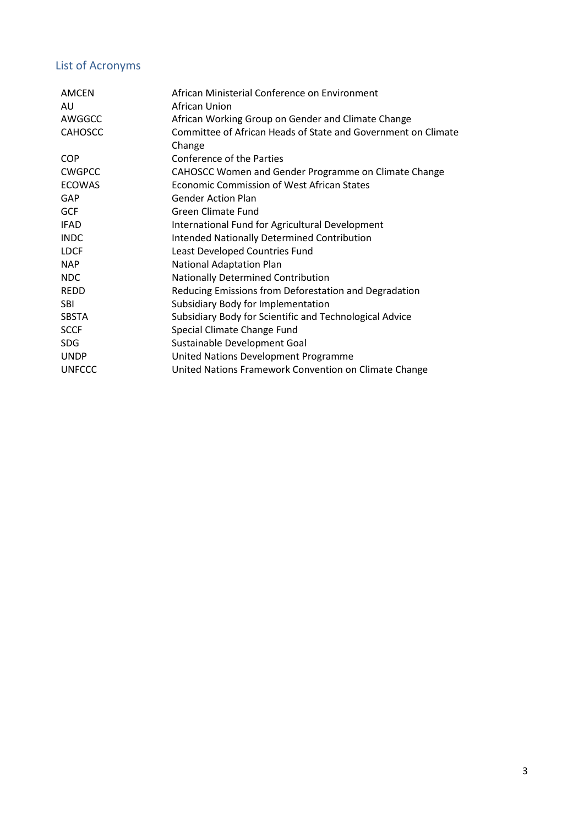# List of Acronyms

| <b>AMCEN</b>   | African Ministerial Conference on Environment                 |
|----------------|---------------------------------------------------------------|
| AU             | African Union                                                 |
| AWGGCC         | African Working Group on Gender and Climate Change            |
| <b>CAHOSCC</b> | Committee of African Heads of State and Government on Climate |
|                | Change                                                        |
| <b>COP</b>     | Conference of the Parties                                     |
| <b>CWGPCC</b>  | CAHOSCC Women and Gender Programme on Climate Change          |
| <b>ECOWAS</b>  | Economic Commission of West African States                    |
| GAP            | <b>Gender Action Plan</b>                                     |
| <b>GCF</b>     | <b>Green Climate Fund</b>                                     |
| <b>IFAD</b>    | International Fund for Agricultural Development               |
| <b>INDC</b>    | <b>Intended Nationally Determined Contribution</b>            |
| <b>LDCF</b>    | Least Developed Countries Fund                                |
| <b>NAP</b>     | <b>National Adaptation Plan</b>                               |
| <b>NDC</b>     | Nationally Determined Contribution                            |
| <b>REDD</b>    | Reducing Emissions from Deforestation and Degradation         |
| <b>SBI</b>     | Subsidiary Body for Implementation                            |
| <b>SBSTA</b>   | Subsidiary Body for Scientific and Technological Advice       |
| <b>SCCF</b>    | Special Climate Change Fund                                   |
| <b>SDG</b>     | Sustainable Development Goal                                  |
| <b>UNDP</b>    | United Nations Development Programme                          |
| <b>UNFCCC</b>  | United Nations Framework Convention on Climate Change         |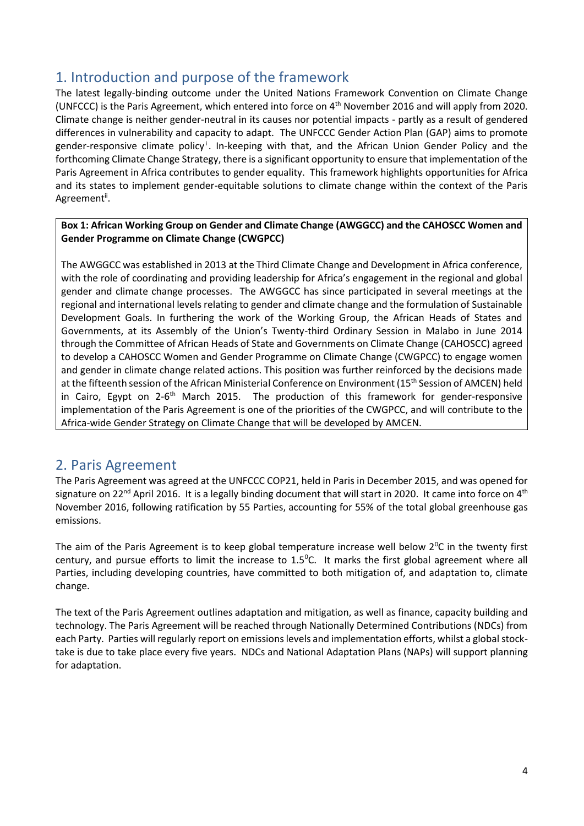# 1. Introduction and purpose of the framework

The latest legally-binding outcome under the United Nations Framework Convention on Climate Change (UNFCCC) is the Paris Agreement, which entered into force on 4<sup>th</sup> November 2016 and will apply from 2020. Climate change is neither gender-neutral in its causes nor potential impacts - partly as a result of gendered differences in vulnerability and capacity to adapt. The UNFCCC Gender Action Plan (GAP) aims to promote gender-responsive climate policy <sup>i</sup>. In-keeping with that, and the African Union Gender Policy and the forthcoming Climate Change Strategy, there is a significant opportunity to ensure that implementation of the Paris Agreement in Africa contributes to gender equality. This framework highlights opportunities for Africa and its states to implement gender-equitable solutions to climate change within the context of the Paris Agreementii.

#### **Box 1: African Working Group on Gender and Climate Change (AWGGCC) and the CAHOSCC Women and Gender Programme on Climate Change (CWGPCC)**

The AWGGCC was established in 2013 at the Third Climate Change and Development in Africa conference, with the role of coordinating and providing leadership for Africa's engagement in the regional and global gender and climate change processes. The AWGGCC has since participated in several meetings at the regional and international levels relating to gender and climate change and the formulation of Sustainable Development Goals. In furthering the work of the Working Group, the African Heads of States and Governments, at its Assembly of the Union's Twenty-third Ordinary Session in Malabo in June 2014 through the Committee of African Heads of State and Governments on Climate Change (CAHOSCC) agreed to develop a CAHOSCC Women and Gender Programme on Climate Change (CWGPCC) to engage women and gender in climate change related actions. This position was further reinforced by the decisions made at the fifteenth session of the African Ministerial Conference on Environment (15<sup>th</sup> Session of AMCEN) held in Cairo, Egypt on 2-6<sup>th</sup> March 2015. The production of this framework for gender-responsive  $\vert$ implementation of the Paris Agreement is one of the priorities of the CWGPCC, and will contribute to the Africa-wide Gender Strategy on Climate Change that will be developed by AMCEN.

### 2. Paris Agreement

The Paris Agreement was agreed at the UNFCCC COP21, held in Paris in December 2015, and was opened for signature on 22<sup>nd</sup> April 2016. It is a legally binding document that will start in 2020. It came into force on 4<sup>th</sup> November 2016, following ratification by 55 Parties, accounting for 55% of the total global greenhouse gas emissions.

The aim of the Paris Agreement is to keep global temperature increase well below  $2^{\circ}$ C in the twenty first century, and pursue efforts to limit the increase to  $1.5^{\circ}$ C. It marks the first global agreement where all Parties, including developing countries, have committed to both mitigation of, and adaptation to, climate change.

The text of the Paris Agreement outlines adaptation and mitigation, as well as finance, capacity building and technology. The Paris Agreement will be reached through Nationally Determined Contributions (NDCs) from each Party. Parties will regularly report on emissions levels and implementation efforts, whilst a global stock take is due to take place every five years. NDCs and National Adaptation Plans (NAPs) will support planning for adaptation.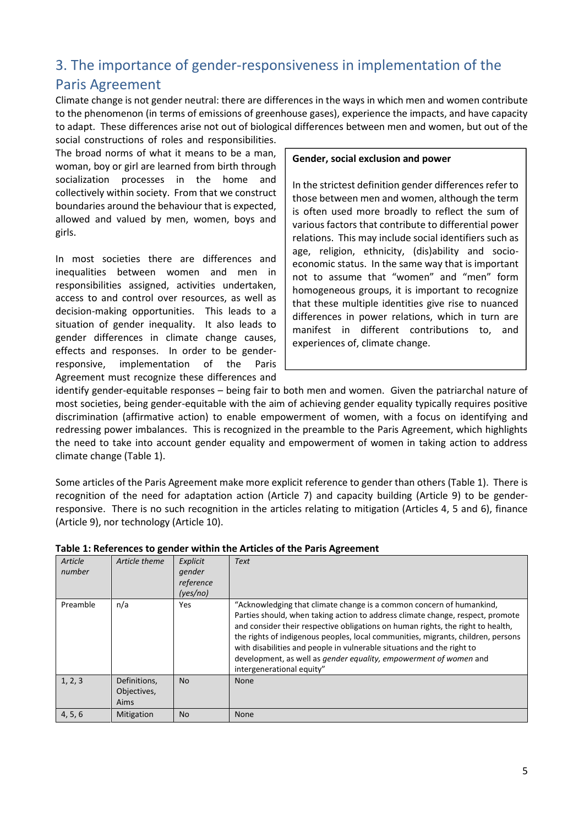# 3. The importance of gender-responsiveness in implementation of the Paris Agreement

Climate change is not gender neutral: there are differences in the ways in which men and women contribute to the phenomenon (in terms of emissions of greenhouse gases), experience the impacts, and have capacity to adapt. These differences arise not out of biological differences between men and women, but out of the social constructions of roles and responsibilities.

The broad norms of what it means to be a man, woman, boy or girl are learned from birth through socialization processes in the home and collectively within society. From that we construct boundaries around the behaviour that is expected, allowed and valued by men, women, boys and girls.

In most societies there are differences and inequalities between women and men in responsibilities assigned, activities undertaken, access to and control over resources, as well as decision-making opportunities. This leads to a situation of gender inequality. It also leads to gender differences in climate change causes, effects and responses. In order to be gender responsive, implementation of the Paris Agreement must recognize these differences and

#### **Gender, social exclusion and power**

In the strictest definition gender differences refer to those between men and women, although the term is often used more broadly to reflect the sum of various factors that contribute to differential power relations. This may include social identifiers such as age, religion, ethnicity, (dis)ability and socio economic status. In the same way that is important not to assume that "women" and "men" form homogeneous groups, it is important to recognize that these multiple identities give rise to nuanced differences in power relations, which in turn are manifest in different contributions to, and experiences of, climate change.

identify gender-equitable responses – being fair to both men and women. Given the patriarchal nature of most societies, being gender-equitable with the aim of achieving gender equality typically requires positive discrimination (affirmative action) to enable empowerment of women, with a focus on identifying and redressing power imbalances. This is recognized in the preamble to the Paris Agreement, which highlights the need to take into account gender equality and empowerment of women in taking action to address climate change (Table 1).

Some articles of the Paris Agreement make more explicit reference to gender than others (Table 1). There is recognition of the need for adaptation action (Article 7) and capacity building (Article 9) to be gender responsive. There is no such recognition in the articles relating to mitigation (Articles 4, 5 and 6), finance (Article 9), nor technology (Article 10).

| Article<br>number | Article theme                       | Explicit<br>gender<br>reference<br>(yes/no) | <b>Text</b>                                                                                                                                                                                                                                                                                                                                                                                                                                                                                               |
|-------------------|-------------------------------------|---------------------------------------------|-----------------------------------------------------------------------------------------------------------------------------------------------------------------------------------------------------------------------------------------------------------------------------------------------------------------------------------------------------------------------------------------------------------------------------------------------------------------------------------------------------------|
| Preamble          | n/a                                 | Yes                                         | "Acknowledging that climate change is a common concern of humankind,<br>Parties should, when taking action to address climate change, respect, promote<br>and consider their respective obligations on human rights, the right to health,<br>the rights of indigenous peoples, local communities, migrants, children, persons<br>with disabilities and people in vulnerable situations and the right to<br>development, as well as gender equality, empowerment of women and<br>intergenerational equity" |
| 1, 2, 3           | Definitions,<br>Objectives,<br>Aims | <b>No</b>                                   | <b>None</b>                                                                                                                                                                                                                                                                                                                                                                                                                                                                                               |
| 4, 5, 6           | Mitigation                          | <b>No</b>                                   | None                                                                                                                                                                                                                                                                                                                                                                                                                                                                                                      |

#### **Table 1: References to gender within the Articles of the Paris Agreement**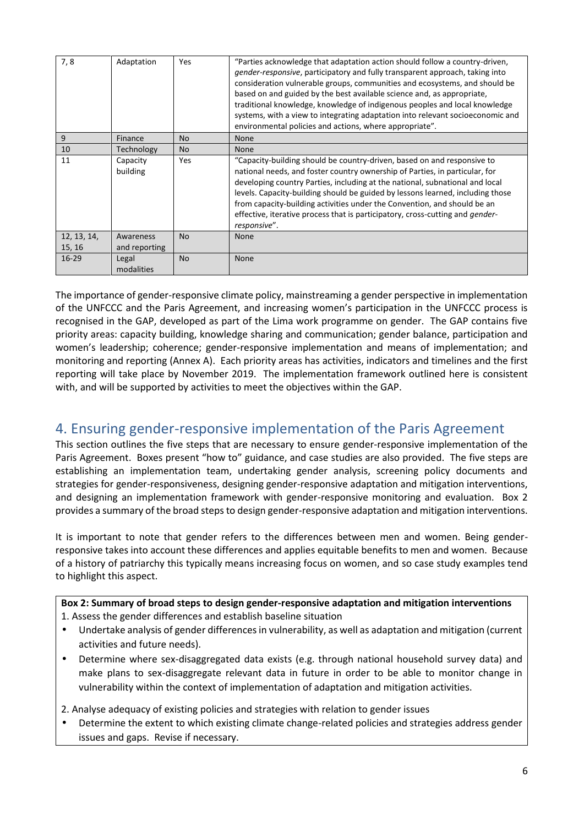| 7,8                   | Adaptation                 | Yes            | "Parties acknowledge that adaptation action should follow a country-driven,<br><i>gender-responsive</i> , participatory and fully transparent approach, taking into<br>consideration vulnerable groups, communities and ecosystems, and should be<br>based on and guided by the best available science and, as appropriate,<br>traditional knowledge, knowledge of indigenous peoples and local knowledge<br>systems, with a view to integrating adaptation into relevant socioeconomic and<br>environmental policies and actions, where appropriate". |
|-----------------------|----------------------------|----------------|--------------------------------------------------------------------------------------------------------------------------------------------------------------------------------------------------------------------------------------------------------------------------------------------------------------------------------------------------------------------------------------------------------------------------------------------------------------------------------------------------------------------------------------------------------|
| 9                     | Finance                    | <b>No</b>      | <b>None</b>                                                                                                                                                                                                                                                                                                                                                                                                                                                                                                                                            |
| 10                    | Technology                 | N <sub>o</sub> | <b>None</b>                                                                                                                                                                                                                                                                                                                                                                                                                                                                                                                                            |
| 11                    | Capacity<br>building       | Yes            | "Capacity-building should be country-driven, based on and responsive to<br>national needs, and foster country ownership of Parties, in particular, for<br>developing country Parties, including at the national, subnational and local<br>levels. Capacity-building should be guided by lessons learned, including those<br>from capacity-building activities under the Convention, and should be an<br>effective, iterative process that is participatory, cross-cutting and <i>gender-</i><br>responsive".                                           |
| 12, 13, 14,<br>15, 16 | Awareness<br>and reporting | N <sub>o</sub> | None                                                                                                                                                                                                                                                                                                                                                                                                                                                                                                                                                   |
| $16 - 29$             | Legal<br>modalities        | <b>No</b>      | <b>None</b>                                                                                                                                                                                                                                                                                                                                                                                                                                                                                                                                            |

The importance of gender-responsive climate policy, mainstreaming a gender perspective in implementation of the UNFCCC and the Paris Agreement, and increasing women's participation in the UNFCCC process is recognised in the GAP, developed as part of the Lima work programme on gender. The GAP contains five priority areas: capacity building, knowledge sharing and communication; gender balance, participation and women's leadership; coherence; gender-responsive implementation and means of implementation; and monitoring and reporting (Annex A). Each priority areas has activities, indicators and timelines and the first reporting will take place by November 2019. The implementation framework outlined here is consistent with, and will be supported by activities to meet the objectives within the GAP.

# 4. Ensuring gender-responsive implementation of the Paris Agreement

This section outlines the five steps that are necessary to ensure gender-responsive implementation of the Paris Agreement. Boxes present "how to" guidance, and case studies are also provided. The five steps are establishing an implementation team, undertaking gender analysis, screening policy documents and strategies for gender-responsiveness, designing gender-responsive adaptation and mitigation interventions, and designing an implementation framework with gender-responsive monitoring and evaluation. Box 2 provides a summary of the broad steps to design gender-responsive adaptation and mitigation interventions.

It is important to note that gender refers to the differences between men and women. Being gender responsive takes into account these differences and applies equitable benefits to men and women. Because of a history of patriarchy this typically means increasing focus on women, and so case study examples tend to highlight this aspect.

**Box 2: Summary of broad steps to design gender-responsive adaptation and mitigation interventions** 1. Assess the gender differences and establish baseline situation

- Undertake analysis of gender differences in vulnerability, as well as adaptation and mitigation (current activities and future needs).
- Determine where sex-disaggregated data exists (e.g. through national household survey data) and make plans to sex-disaggregate relevant data in future in order to be able to monitor change in vulnerability within the context of implementation of adaptation and mitigation activities.

2. Analyse adequacy of existing policies and strategies with relation to gender issues

 Determine the extent to which existing climate change-related policies and strategies address gender issues and gaps. Revise if necessary.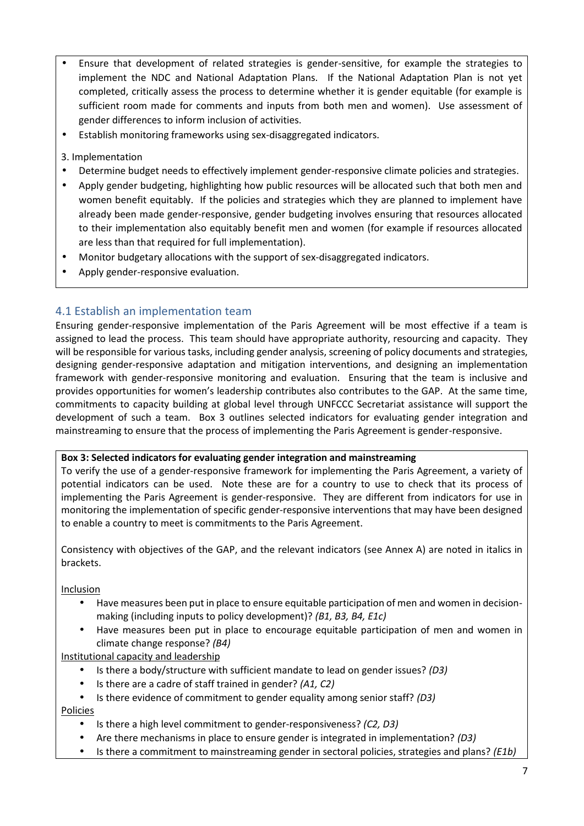- Ensure that development of related strategies is gender-sensitive, for example the strategies to implement the NDC and National Adaptation Plans. If the National Adaptation Plan is not yet completed, critically assess the process to determine whether it is gender equitable (for example is sufficient room made for comments and inputs from both men and women). Use assessment of gender differences to inform inclusion of activities.
- Establish monitoring frameworks using sex-disaggregated indicators.
- 3. Implementation
- Determine budget needs to effectively implement gender-responsive climate policies and strategies.
- Apply gender budgeting, highlighting how public resources will be allocated such that both men and women benefit equitably. If the policies and strategies which they are planned to implement have already been made gender-responsive, gender budgeting involves ensuring that resources allocated to their implementation also equitably benefit men and women (for example if resources allocated are less than that required for full implementation).
- Monitor budgetary allocations with the support of sex-disaggregated indicators.
- Apply gender-responsive evaluation.

### 4.1 Establish an implementation team

Ensuring gender-responsive implementation of the Paris Agreement will be most effective if a team is assigned to lead the process. This team should have appropriate authority, resourcing and capacity. They will be responsible for various tasks, including gender analysis, screening of policy documents and strategies, designing gender-responsive adaptation and mitigation interventions, and designing an implementation framework with gender-responsive monitoring and evaluation. Ensuring that the team is inclusive and provides opportunities for women's leadership contributes also contributes to the GAP. At the same time, commitments to capacity building at global level through UNFCCC Secretariat assistance will support the development of such a team. Box 3 outlines selected indicators for evaluating gender integration and mainstreaming to ensure that the process of implementing the Paris Agreement is gender-responsive.

#### **Box 3: Selected indicators for evaluating gender integration and mainstreaming**

To verify the use of a gender-responsive framework for implementing the Paris Agreement, a variety of potential indicators can be used. Note these are for a country to use to check that its process of implementing the Paris Agreement is gender-responsive. They are different from indicators for use in monitoring the implementation of specific gender-responsive interventions that may have been designed to enable a country to meet is commitments to the Paris Agreement.

Consistency with objectives of the GAP, and the relevant indicators (see Annex A) are noted in italics in brackets.

Inclusion

- Have measures been put in place to ensure equitable participation of men and women in decision making (including inputs to policy development)? *(B1, B3, B4, E1c)*
- Have measures been put in place to encourage equitable participation of men and women in climate change response? *(B4)*

Institutional capacity and leadership

- Is there a body/structure with sufficient mandate to lead on gender issues? *(D3)*
- Is there are a cadre of staff trained in gender? *(A1, C2)*
- Is there evidence of commitment to gender equality among senior staff? *(D3)* Policies
	- Is there a high level commitment to gender-responsiveness? *(C2, D3)*
	- Are there mechanisms in place to ensure gender is integrated in implementation? *(D3)*
	- Is there a commitment to mainstreaming gender in sectoral policies, strategies and plans? *(E1b)*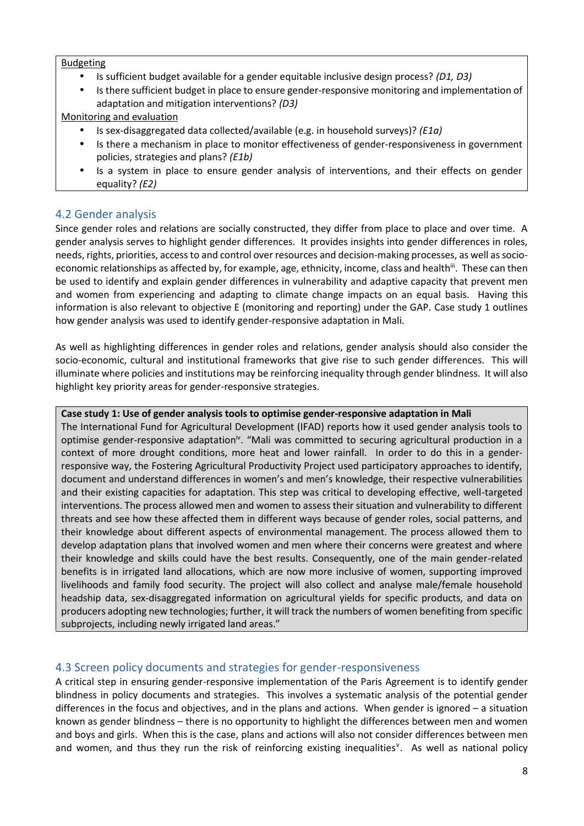#### Budgeting

- Is sufficient budget available for a gender equitable inclusive design process? *(D1, D3)*
- Is there sufficient budget in place to ensure gender-responsive monitoring and implementation of adaptation and mitigation interventions? *(D3)*

Monitoring and evaluation

- Is sex-disaggregated data collected/available (e.g. in household surveys)? *(E1a)*
- Is there a mechanism in place to monitor effectiveness of gender-responsiveness in government policies, strategies and plans? *(E1b)*
- Is a system in place to ensure gender analysis of interventions, and their effects on gender equality? *(E2)*

### 4.2 Gender analysis

Since gender roles and relations are socially constructed, they differ from place to place and over time. A gender analysis serves to highlight gender differences. It provides insights into gender differences in roles, needs, rights, priorities, access to and control over resources and decision-making processes, as well as socio economic relationships as affected by, for example, age, ethnicity, income, class and health<sup>iii</sup>. These can then be used to identify and explain gender differences in vulnerability and adaptive capacity that prevent men and women from experiencing and adapting to climate change impacts on an equal basis. Having this information is also relevant to objective E (monitoring and reporting) under the GAP. Case study 1 outlines how gender analysis was used to identify gender-responsive adaptation in Mali.

As well as highlighting differences in gender roles and relations, gender analysis should also consider the socio-economic, cultural and institutional frameworks that give rise to such gender differences. This will illuminate where policies and institutions may be reinforcing inequality through gender blindness. It will also highlight key priority areas for gender-responsive strategies.

#### **Case study 1: Use of gender analysis tools to optimise gender-responsive adaptation in Mali**

The International Fund for Agricultural Development (IFAD) reports how it used gender analysis tools to optimise gender-responsive adaptation<sup>iv</sup>. "Mali was committed to securing agricultural production in a context of more drought conditions, more heat and lower rainfall. In order to do this in a gender responsive way, the Fostering Agricultural Productivity Project used participatory approaches to identify, document and understand differences in women's and men's knowledge, their respective vulnerabilities and their existing capacities for adaptation. This step was critical to developing effective, well-targeted interventions. The process allowed men and women to assess their situation and vulnerability to different threats and see how these affected them in different ways because of gender roles, social patterns, and their knowledge about different aspects of environmental management. The process allowed them to develop adaptation plans that involved women and men where their concerns were greatest and where their knowledge and skills could have the best results. Consequently, one of the main gender-related benefits is in irrigated land allocations, which are now more inclusive of women, supporting improved livelihoods and family food security. The project will also collect and analyse male/female household headship data, sex-disaggregated information on agricultural yields for specific products, and data on producers adopting new technologies; further, it will track the numbers of women benefiting from specific subprojects, including newly irrigated land areas."

### 4.3 Screen policy documents and strategies for gender-responsiveness

A critical step in ensuring gender-responsive implementation of the Paris Agreement is to identify gender blindness in policy documents and strategies. This involves a systematic analysis of the potential gender differences in the focus and objectives, and in the plans and actions. When gender is ignored – a situation known as gender blindness – there is no opportunity to highlight the differences between men and women and boys and girls. When this is the case, plans and actions will also not consider differences between men and women, and thus they run the risk of reinforcing existing inequalities<sup>v</sup>. As well as national policy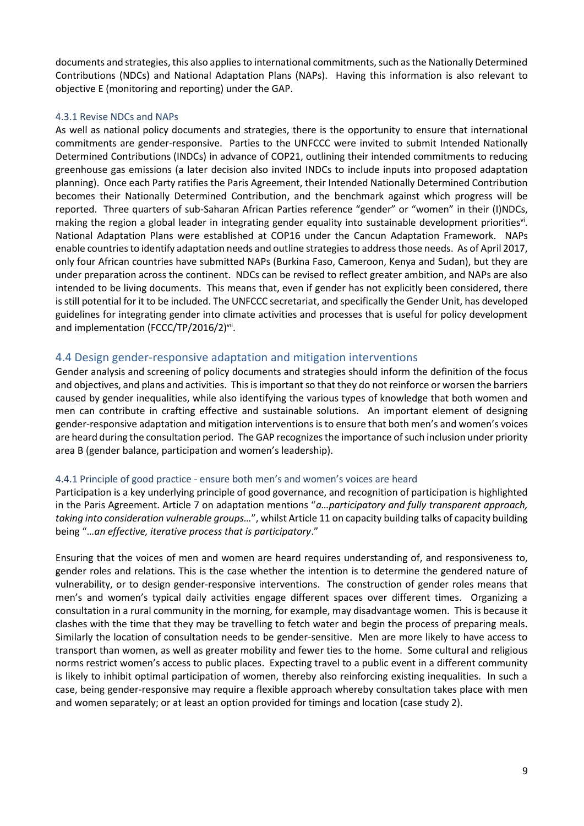documents and strategies, this also applies to international commitments, such as the Nationally Determined Contributions (NDCs) and National Adaptation Plans (NAPs). Having this information is also relevant to objective E (monitoring and reporting) under the GAP.

#### 4.3.1 Revise NDCs and NAPs

As well as national policy documents and strategies, there is the opportunity to ensure that international commitments are gender-responsive. Parties to the UNFCCC were invited to submit Intended Nationally Determined Contributions (INDCs) in advance of COP21, outlining their intended commitments to reducing greenhouse gas emissions (a later decision also invited INDCs to include inputs into proposed adaptation planning). Once each Party ratifies the Paris Agreement, their Intended Nationally Determined Contribution becomes their Nationally Determined Contribution, and the benchmark against which progress will be reported. Three quarters of sub-Saharan African Parties reference "gender" or "women" in their (I)NDCs, making the region a global leader in integrating gender equality into sustainable development priorities<sup>vi</sup>. National Adaptation Plans were established at COP16 under the Cancun Adaptation Framework. NAPs enable countries to identify adaptation needs and outline strategies to address those needs. As of April 2017, only four African countries have submitted NAPs (Burkina Faso, Cameroon, Kenya and Sudan), but they are under preparation across the continent. NDCs can be revised to reflect greater ambition, and NAPs are also intended to be living documents. This means that, even if gender has not explicitly been considered, there is still potential for it to be included. The UNFCCC secretariat, and specifically the Gender Unit, has developed guidelines for integrating gender into climate activities and processes that is useful for policy development and implementation (FCCC/TP/2016/2)<sup>vii</sup>.

### 4.4 Design gender-responsive adaptation and mitigation interventions

Gender analysis and screening of policy documents and strategies should inform the definition of the focus and objectives, and plans and activities. This is important so that they do not reinforce or worsen the barriers caused by gender inequalities, while also identifying the various types of knowledge that both women and men can contribute in crafting effective and sustainable solutions. An important element of designing gender-responsive adaptation and mitigation interventions is to ensure that both men's and women's voices are heard during the consultation period. The GAP recognizes the importance of such inclusion under priority area B (gender balance, participation and women's leadership).

#### 4.4.1 Principle of good practice - ensure both men's and women's voices are heard

Participation is a key underlying principle of good governance, and recognition of participation is highlighted in the Paris Agreement. Article 7 on adaptation mentions "*a…participatory and fully transparent approach, taking into consideration vulnerable groups…*", whilst Article 11 on capacity building talks of capacity building being "…*an effective, iterative process that is participatory*."

Ensuring that the voices of men and women are heard requires understanding of, and responsiveness to, gender roles and relations. This is the case whether the intention is to determine the gendered nature of vulnerability, or to design gender-responsive interventions. The construction of gender roles means that men's and women's typical daily activities engage different spaces over different times. Organizing a consultation in a rural community in the morning, for example, may disadvantage women. This is because it clashes with the time that they may be travelling to fetch water and begin the process of preparing meals. Similarly the location of consultation needs to be gender-sensitive. Men are more likely to have access to transport than women, as well as greater mobility and fewer ties to the home. Some cultural and religious norms restrict women's access to public places. Expecting travel to a public event in a different community is likely to inhibit optimal participation of women, thereby also reinforcing existing inequalities. In such a case, being gender-responsive may require a flexible approach whereby consultation takes place with men and women separately; or at least an option provided for timings and location (case study 2).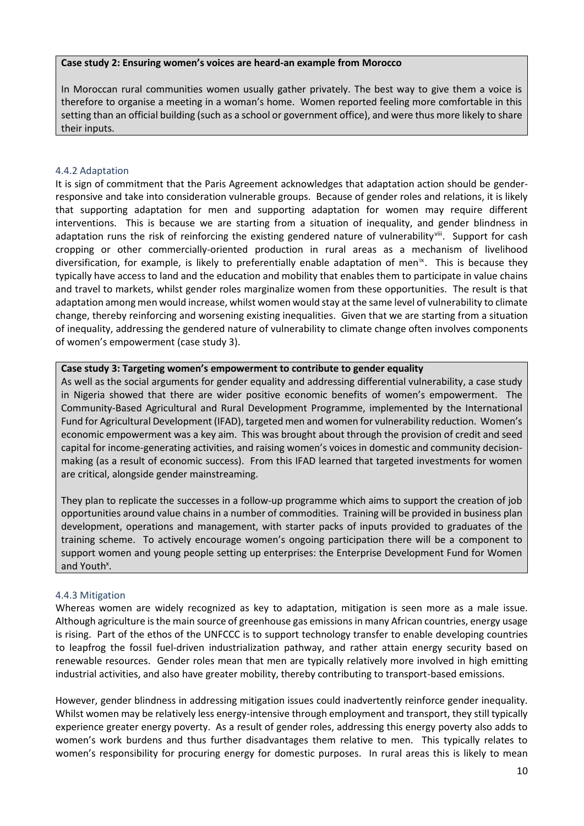#### **Case study 2: Ensuring women's voices are heard-an example from Morocco**

In Moroccan rural communities women usually gather privately. The best way to give them a voice is therefore to organise a meeting in a woman's home. Women reported feeling more comfortable in this setting than an official building (such as a school or government office), and were thus more likely to share their inputs.

#### 4.4.2 Adaptation

It is sign of commitment that the Paris Agreement acknowledges that adaptation action should be gender responsive and take into consideration vulnerable groups. Because of gender roles and relations, it is likely that supporting adaptation for men and supporting adaptation for women may require different interventions. This is because we are starting from a situation of inequality, and gender blindness in adaptation runs the risk of reinforcing the existing gendered nature of vulnerabilityviii. Support for cash cropping or other commercially-oriented production in rural areas as a mechanism of livelihood diversification, for example, is likely to preferentially enable adaptation of men<sup>ix</sup>. This is because they typically have access to land and the education and mobility that enables them to participate in value chains and travel to markets, whilst gender roles marginalize women from these opportunities. The result is that adaptation among men would increase, whilst women would stay at the same level of vulnerability to climate change, thereby reinforcing and worsening existing inequalities. Given that we are starting from a situation of inequality, addressing the gendered nature of vulnerability to climate change often involves components of women's empowerment (case study 3).

#### **Case study 3: Targeting women's empowerment to contribute to gender equality**

As well as the social arguments for gender equality and addressing differential vulnerability, a case study in Nigeria showed that there are wider positive economic benefits of women's empowerment. The Community-Based Agricultural and Rural Development Programme, implemented by the International Fund for Agricultural Development (IFAD), targeted men and women for vulnerability reduction. Women's economic empowerment was a key aim. This was brought about through the provision of credit and seed capital for income-generating activities, and raising women's voices in domestic and community decision making (as a result of economic success). From this IFAD learned that targeted investments for women are critical, alongside gender mainstreaming.

They plan to replicate the successes in a follow-up programme which aims to support the creation of job opportunities around value chains in a number of commodities. Training will be provided in business plan development, operations and management, with starter packs of inputs provided to graduates of the training scheme. To actively encourage women's ongoing participation there will be a component to support women and young people setting up enterprises: the Enterprise Development Fund for Women and Youth<sup>x</sup>.

#### 4.4.3 Mitigation

Whereas women are widely recognized as key to adaptation, mitigation is seen more as a male issue. Although agriculture is the main source of greenhouse gas emissions in many African countries, energy usage is rising. Part of the ethos of the UNFCCC is to support technology transfer to enable developing countries to leapfrog the fossil fuel-driven industrialization pathway, and rather attain energy security based on renewable resources. Gender roles mean that men are typically relatively more involved in high emitting industrial activities, and also have greater mobility, thereby contributing to transport-based emissions.

However, gender blindness in addressing mitigation issues could inadvertently reinforce gender inequality. Whilst women may be relatively less energy-intensive through employment and transport, they still typically experience greater energy poverty. As a result of gender roles, addressing this energy poverty also adds to women's work burdens and thus further disadvantages them relative to men. This typically relates to women's responsibility for procuring energy for domestic purposes. In rural areas this is likely to mean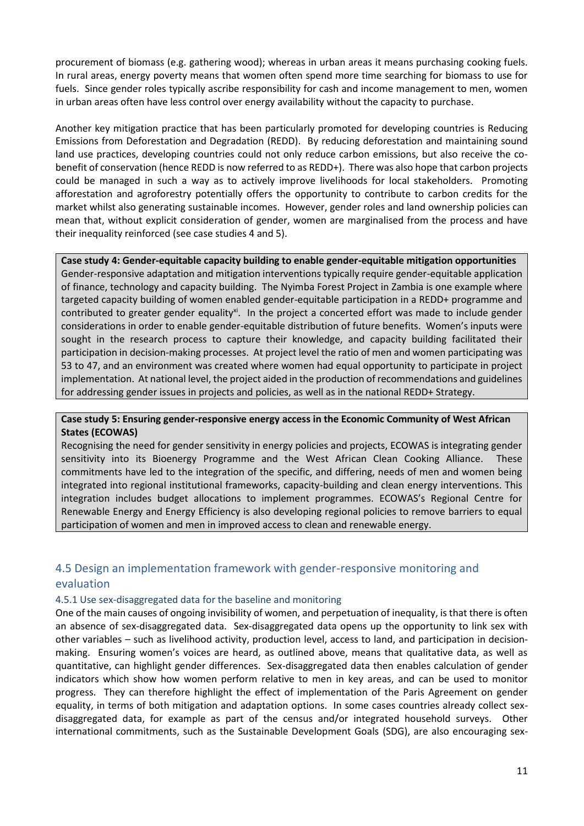procurement of biomass (e.g. gathering wood); whereas in urban areas it means purchasing cooking fuels. In rural areas, energy poverty means that women often spend more time searching for biomass to use for fuels. Since gender roles typically ascribe responsibility for cash and income management to men, women in urban areas often have less control over energy availability without the capacity to purchase.

Another key mitigation practice that has been particularly promoted for developing countries is Reducing Emissions from Deforestation and Degradation (REDD). By reducing deforestation and maintaining sound land use practices, developing countries could not only reduce carbon emissions, but also receive the co benefit of conservation (hence REDD is now referred to as REDD+). There was also hope that carbon projects could be managed in such a way as to actively improve livelihoods for local stakeholders. Promoting afforestation and agroforestry potentially offers the opportunity to contribute to carbon credits for the market whilst also generating sustainable incomes. However, gender roles and land ownership policies can mean that, without explicit consideration of gender, women are marginalised from the process and have their inequality reinforced (see case studies 4 and 5).

**Case study 4: Gender-equitable capacity building to enable gender-equitable mitigation opportunities** Gender-responsive adaptation and mitigation interventions typically require gender-equitable application of finance, technology and capacity building. The Nyimba Forest Project in Zambia is one example where targeted capacity building of women enabled gender-equitable participation in a REDD+ programme and contributed to greater gender equality<sup>xi</sup>. In the project a concerted effort was made to include gender considerations in order to enable gender-equitable distribution of future benefits. Women's inputs were sought in the research process to capture their knowledge, and capacity building facilitated their participation in decision-making processes. At project level the ratio of men and women participating was 53 to 47, and an environment was created where women had equal opportunity to participate in project implementation. At national level, the project aided in the production of recommendations and guidelines for addressing gender issues in projects and policies, as well as in the national REDD+ Strategy.

#### **Case study 5: Ensuring gender-responsive energy access in the Economic Community of West African States (ECOWAS)**

Recognising the need for gender sensitivity in energy policies and projects, ECOWAS is integrating gender sensitivity into its Bioenergy Programme and the West African Clean Cooking Alliance. These commitments have led to the integration of the specific, and differing, needs of men and women being integrated into regional institutional frameworks, capacity-building and clean energy interventions. This integration includes budget allocations to implement programmes. ECOWAS's Regional Centre for Renewable Energy and Energy Efficiency is also developing regional policies to remove barriers to equal participation of women and men in improved access to clean and renewable energy.

### 4.5 Design an implementation framework with gender-responsive monitoring and evaluation

#### 4.5.1 Use sex-disaggregated data for the baseline and monitoring

One of the main causes of ongoing invisibility of women, and perpetuation of inequality, is that there is often an absence of sex-disaggregated data. Sex-disaggregated data opens up the opportunity to link sex with other variables – such as livelihood activity, production level, access to land, and participation in decision making. Ensuring women's voices are heard, as outlined above, means that qualitative data, as well as quantitative, can highlight gender differences. Sex-disaggregated data then enables calculation of gender indicators which show how women perform relative to men in key areas, and can be used to monitor progress. They can therefore highlight the effect of implementation of the Paris Agreement on gender equality, in terms of both mitigation and adaptation options. In some cases countries already collect sex disaggregated data, for example as part of the census and/or integrated household surveys. Other international commitments, such as the Sustainable Development Goals (SDG), are also encouraging sex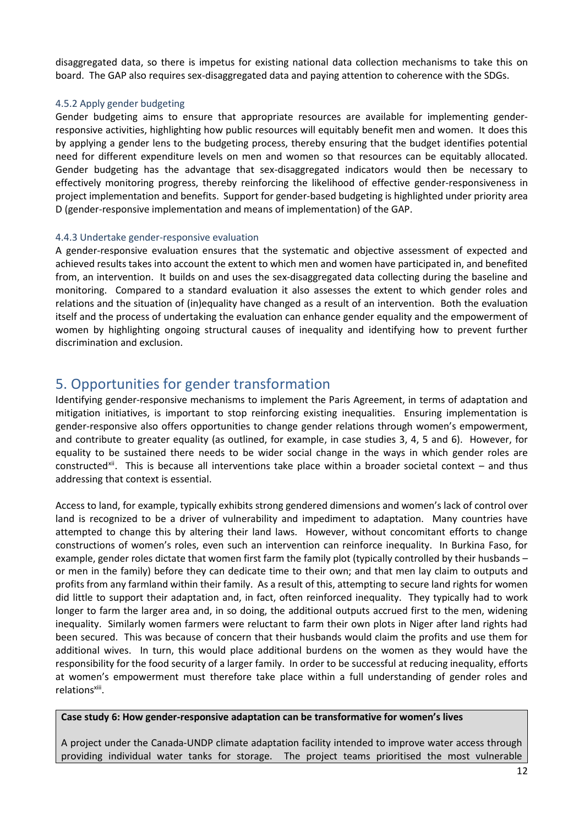disaggregated data, so there is impetus for existing national data collection mechanisms to take this on board. The GAP also requires sex-disaggregated data and paying attention to coherence with the SDGs.

#### 4.5.2 Apply gender budgeting

Gender budgeting aims to ensure that appropriate resources are available for implementing gender responsive activities, highlighting how public resources will equitably benefit men and women. It does this by applying a gender lens to the budgeting process, thereby ensuring that the budget identifies potential need for different expenditure levels on men and women so that resources can be equitably allocated. Gender budgeting has the advantage that sex-disaggregated indicators would then be necessary to effectively monitoring progress, thereby reinforcing the likelihood of effective gender-responsiveness in project implementation and benefits. Support for gender-based budgeting is highlighted under priority area D (gender-responsive implementation and means of implementation) of the GAP.

#### 4.4.3 Undertake gender-responsive evaluation

A gender-responsive evaluation ensures that the systematic and objective assessment of expected and achieved results takes into account the extent to which men and women have participated in, and benefited from, an intervention. It builds on and uses the sex-disaggregated data collecting during the baseline and monitoring. Compared to a standard evaluation it also assesses the extent to which gender roles and relations and the situation of (in)equality have changed as a result of an intervention. Both the evaluation itself and the process of undertaking the evaluation can enhance gender equality and the empowerment of women by highlighting ongoing structural causes of inequality and identifying how to prevent further discrimination and exclusion.

# 5. Opportunities for gender transformation

Identifying gender-responsive mechanisms to implement the Paris Agreement, in terms of adaptation and mitigation initiatives, is important to stop reinforcing existing inequalities. Ensuring implementation is gender-responsive also offers opportunities to change gender relations through women's empowerment, and contribute to greater equality (as outlined, for example, in case studies 3, 4, 5 and 6). However, for equality to be sustained there needs to be wider social change in the ways in which gender roles are constructed<sup>xii</sup>. This is because all interventions take place within a broader societal context – and thus addressing that context is essential.

Access to land, for example, typically exhibits strong gendered dimensions and women's lack of control over land is recognized to be a driver of vulnerability and impediment to adaptation. Many countries have attempted to change this by altering their land laws. However, without concomitant efforts to change constructions of women's roles, even such an intervention can reinforce inequality. In Burkina Faso, for example, gender roles dictate that women first farm the family plot (typically controlled by their husbands – or men in the family) before they can dedicate time to their own; and that men lay claim to outputs and profits from any farmland within their family. As a result of this, attempting to secure land rights for women did little to support their adaptation and, in fact, often reinforced inequality. They typically had to work longer to farm the larger area and, in so doing, the additional outputs accrued first to the men, widening inequality. Similarly women farmers were reluctant to farm their own plots in Niger after land rights had been secured. This was because of concern that their husbands would claim the profits and use them for additional wives. In turn, this would place additional burdens on the women as they would have the responsibility for the food security of a larger family. In order to be successful at reducing inequality, efforts at women's empowerment must therefore take place within a full understanding of gender roles and relations<sup>xiii</sup>.

#### **Case study 6: How gender-responsive adaptation can be transformative for women's lives**

A project under the Canada-UNDP climate adaptation facility intended to improve water access through providing individual water tanks for storage. The project teams prioritised the most vulnerable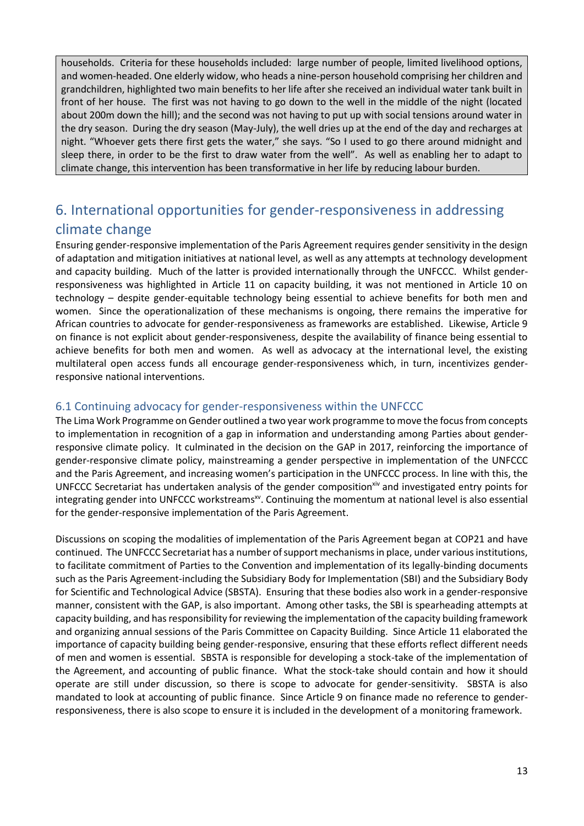households. Criteria for these households included: large number of people, limited livelihood options, and women-headed. One elderly widow, who heads a nine-person household comprising her children and grandchildren, highlighted two main benefits to her life after she received an individual water tank built in front of her house. The first was not having to go down to the well in the middle of the night (located about 200m down the hill); and the second was not having to put up with social tensions around water in the dry season. During the dry season (May-July), the well dries up at the end of the day and recharges at night. "Whoever gets there first gets the water," she says. "So I used to go there around midnight and sleep there, in order to be the first to draw water from the well". As well as enabling her to adapt to climate change, this intervention has been transformative in her life by reducing labour burden.

# 6. International opportunities for gender-responsiveness in addressing climate change

Ensuring gender-responsive implementation of the Paris Agreement requires gender sensitivity in the design of adaptation and mitigation initiatives at national level, as well as any attempts at technology development and capacity building. Much of the latter is provided internationally through the UNFCCC. Whilst gender responsiveness was highlighted in Article 11 on capacity building, it was not mentioned in Article 10 on technology – despite gender-equitable technology being essential to achieve benefits for both men and women. Since the operationalization of these mechanisms is ongoing, there remains the imperative for African countries to advocate for gender-responsiveness as frameworks are established. Likewise, Article 9 on finance is not explicit about gender-responsiveness, despite the availability of finance being essential to achieve benefits for both men and women. As well as advocacy at the international level, the existing multilateral open access funds all encourage gender-responsiveness which, in turn, incentivizes gender responsive national interventions.

### 6.1 Continuing advocacy for gender-responsiveness within the UNFCCC

The Lima Work Programme on Gender outlined a two year work programme to move the focus from concepts to implementation in recognition of a gap in information and understanding among Parties about gender responsive climate policy. It culminated in the decision on the GAP in 2017, reinforcing the importance of gender-responsive climate policy, mainstreaming a gender perspective in implementation of the UNFCCC and the Paris Agreement, and increasing women's participation in the UNFCCC process. In line with this, the UNFCCC Secretariat has undertaken analysis of the gender composition<sup>xiv</sup> and investigated entry points for integrating gender into UNFCCC workstreams<sup>xv</sup>. Continuing the momentum at national level is also essential for the gender-responsive implementation of the Paris Agreement.

Discussions on scoping the modalities of implementation of the Paris Agreement began at COP21 and have continued. The UNFCCC Secretariat has a number of support mechanisms in place, under various institutions, to facilitate commitment of Parties to the Convention and implementation of its legally-binding documents such as the Paris Agreement-including the Subsidiary Body for Implementation (SBI) and the Subsidiary Body for Scientific and Technological Advice (SBSTA). Ensuring that these bodies also work in a gender-responsive manner, consistent with the GAP, is also important. Among other tasks, the SBI is spearheading attempts at capacity building, and has responsibility for reviewing the implementation of the capacity building framework and organizing annual sessions of the Paris Committee on Capacity Building. Since Article 11 elaborated the importance of capacity building being gender-responsive, ensuring that these efforts reflect different needs of men and women is essential. SBSTA is responsible for developing a stock-take of the implementation of the Agreement, and accounting of public finance. What the stock-take should contain and how it should operate are still under discussion, so there is scope to advocate for gender-sensitivity. SBSTA is also mandated to look at accounting of public finance. Since Article 9 on finance made no reference to gender responsiveness, there is also scope to ensure it is included in the development of a monitoring framework.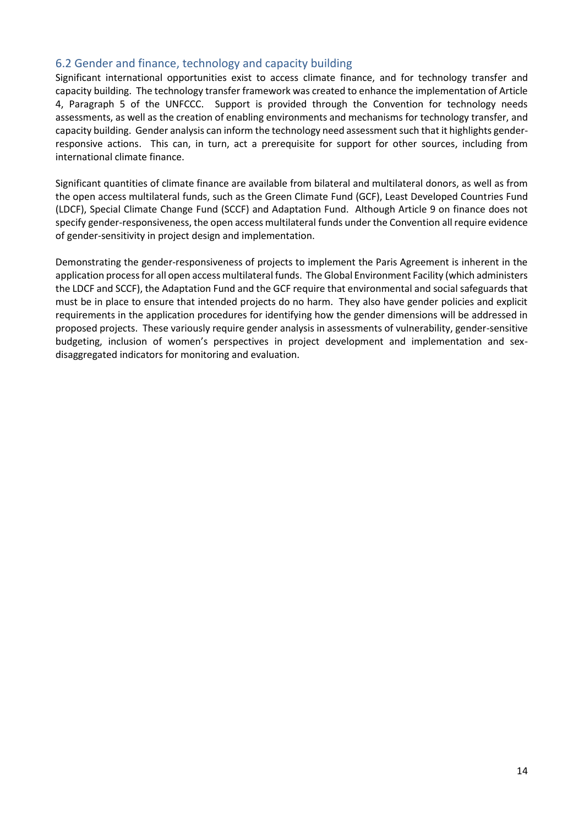### 6.2 Gender and finance, technology and capacity building

Significant international opportunities exist to access climate finance, and for technology transfer and capacity building. The technology transfer framework was created to enhance the implementation of Article 4, Paragraph 5 of the UNFCCC. Support is provided through the Convention for technology needs assessments, as well as the creation of enabling environments and mechanisms for technology transfer, and capacity building. Gender analysis can inform the technology need assessment such that it highlights gender responsive actions. This can, in turn, act a prerequisite for support for other sources, including from international climate finance.

Significant quantities of climate finance are available from bilateral and multilateral donors, as well as from the open access multilateral funds, such as the Green Climate Fund (GCF), Least Developed Countries Fund (LDCF), Special Climate Change Fund (SCCF) and Adaptation Fund. Although Article 9 on finance does not specify gender-responsiveness, the open access multilateral funds under the Convention all require evidence of gender-sensitivity in project design and implementation.

Demonstrating the gender-responsiveness of projects to implement the Paris Agreement is inherent in the application process for all open access multilateral funds. The Global Environment Facility (which administers the LDCF and SCCF), the Adaptation Fund and the GCF require that environmental and social safeguards that must be in place to ensure that intended projects do no harm. They also have gender policies and explicit requirements in the application procedures for identifying how the gender dimensions will be addressed in proposed projects. These variously require gender analysis in assessments of vulnerability, gender-sensitive budgeting, inclusion of women's perspectives in project development and implementation and sex disaggregated indicators for monitoring and evaluation.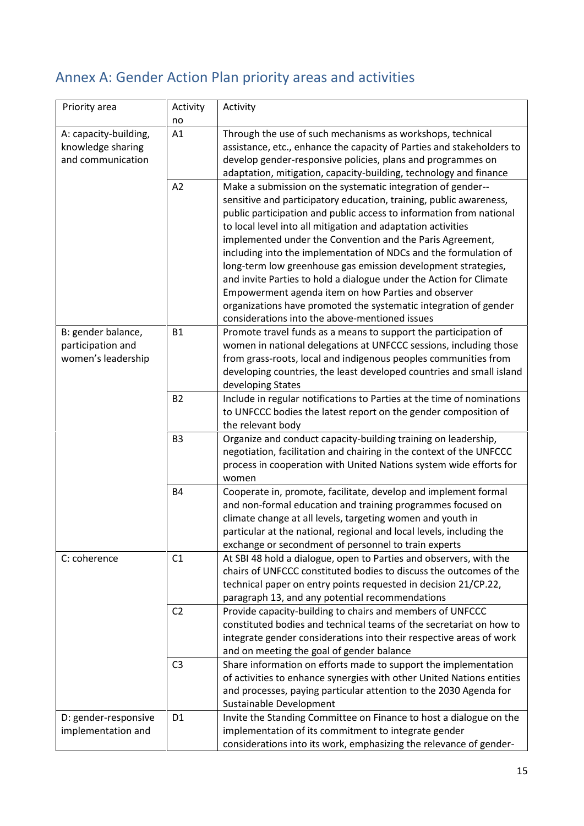# Annex A: Gender Action Plan priority areas and activities

| Priority area         | Activity       | Activity                                                                                     |
|-----------------------|----------------|----------------------------------------------------------------------------------------------|
|                       | no             |                                                                                              |
| A: capacity-building, | A1             | Through the use of such mechanisms as workshops, technical                                   |
| knowledge sharing     |                | assistance, etc., enhance the capacity of Parties and stakeholders to                        |
| and communication     |                | develop gender-responsive policies, plans and programmes on                                  |
|                       |                | adaptation, mitigation, capacity-building, technology and finance                            |
|                       | A2             | Make a submission on the systematic integration of gender--                                  |
|                       |                | sensitive and participatory education, training, public awareness,                           |
|                       |                | public participation and public access to information from national                          |
|                       |                | to local level into all mitigation and adaptation activities                                 |
|                       |                | implemented under the Convention and the Paris Agreement,                                    |
|                       |                | including into the implementation of NDCs and the formulation of                             |
|                       |                | long-term low greenhouse gas emission development strategies,                                |
|                       |                | and invite Parties to hold a dialogue under the Action for Climate                           |
|                       |                | Empowerment agenda item on how Parties and observer                                          |
|                       |                | organizations have promoted the systematic integration of gender                             |
|                       |                | considerations into the above-mentioned issues                                               |
| B: gender balance,    | <b>B1</b>      | Promote travel funds as a means to support the participation of                              |
| participation and     |                | women in national delegations at UNFCCC sessions, including those                            |
| women's leadership    |                | from grass-roots, local and indigenous peoples communities from                              |
|                       |                | developing countries, the least developed countries and small island                         |
|                       |                | developing States                                                                            |
|                       | <b>B2</b>      | Include in regular notifications to Parties at the time of nominations                       |
|                       |                | to UNFCCC bodies the latest report on the gender composition of                              |
|                       |                | the relevant body                                                                            |
|                       | B <sub>3</sub> | Organize and conduct capacity-building training on leadership,                               |
|                       |                | negotiation, facilitation and chairing in the context of the UNFCCC                          |
|                       |                | process in cooperation with United Nations system wide efforts for                           |
|                       |                | women                                                                                        |
|                       | <b>B4</b>      | Cooperate in, promote, facilitate, develop and implement formal                              |
|                       |                | and non-formal education and training programmes focused on                                  |
|                       |                | climate change at all levels, targeting women and youth in                                   |
|                       |                | particular at the national, regional and local levels, including the                         |
|                       |                | exchange or secondment of personnel to train experts                                         |
| C: coherence          | C1             | At SBI 48 hold a dialogue, open to Parties and observers, with the                           |
|                       |                | chairs of UNFCCC constituted bodies to discuss the outcomes of the                           |
|                       |                | technical paper on entry points requested in decision 21/CP.22,                              |
|                       |                | paragraph 13, and any potential recommendations                                              |
|                       | C <sub>2</sub> | Provide capacity-building to chairs and members of UNFCCC                                    |
|                       |                | constituted bodies and technical teams of the secretariat on how to                          |
|                       |                | integrate gender considerations into their respective areas of work                          |
|                       |                | and on meeting the goal of gender balance                                                    |
|                       | C <sub>3</sub> | Share information on efforts made to support the implementation                              |
|                       |                | of activities to enhance synergies with other United Nations entities                        |
|                       |                |                                                                                              |
|                       |                | and processes, paying particular attention to the 2030 Agenda for<br>Sustainable Development |
|                       | D <sub>1</sub> |                                                                                              |
| D: gender-responsive  |                | Invite the Standing Committee on Finance to host a dialogue on the                           |
| implementation and    |                | implementation of its commitment to integrate gender                                         |
|                       |                | considerations into its work, emphasizing the relevance of gender-                           |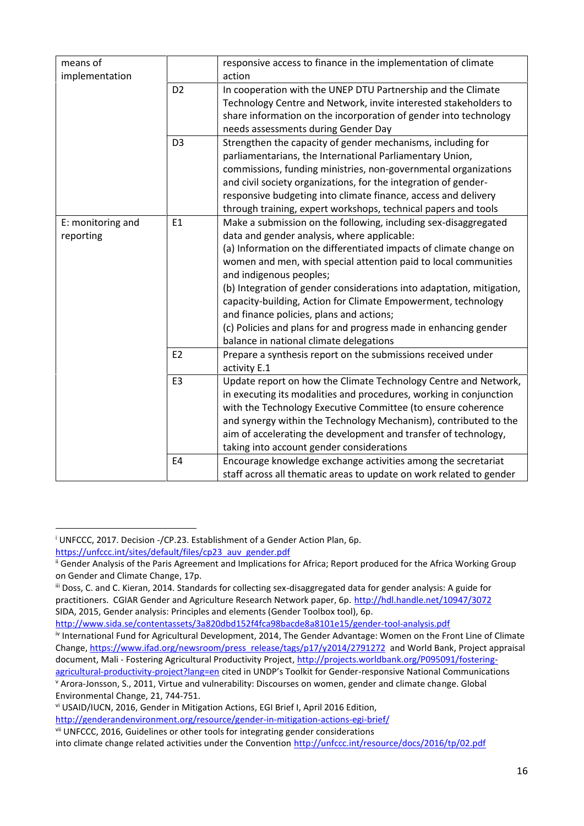| means of                       |                | responsive access to finance in the implementation of climate         |
|--------------------------------|----------------|-----------------------------------------------------------------------|
| implementation                 |                | action                                                                |
|                                | D <sub>2</sub> | In cooperation with the UNEP DTU Partnership and the Climate          |
|                                |                | Technology Centre and Network, invite interested stakeholders to      |
|                                |                | share information on the incorporation of gender into technology      |
|                                |                | needs assessments during Gender Day                                   |
|                                | D <sub>3</sub> | Strengthen the capacity of gender mechanisms, including for           |
|                                |                | parliamentarians, the International Parliamentary Union,              |
|                                |                | commissions, funding ministries, non-governmental organizations       |
|                                |                | and civil society organizations, for the integration of gender-       |
|                                |                | responsive budgeting into climate finance, access and delivery        |
|                                |                | through training, expert workshops, technical papers and tools        |
| E: monitoring and<br>reporting | E1             | Make a submission on the following, including sex-disaggregated       |
|                                |                | data and gender analysis, where applicable:                           |
|                                |                | (a) Information on the differentiated impacts of climate change on    |
|                                |                | women and men, with special attention paid to local communities       |
|                                |                | and indigenous peoples;                                               |
|                                |                | (b) Integration of gender considerations into adaptation, mitigation, |
|                                |                | capacity-building, Action for Climate Empowerment, technology         |
|                                |                | and finance policies, plans and actions;                              |
|                                |                | (c) Policies and plans for and progress made in enhancing gender      |
|                                |                | balance in national climate delegations                               |
|                                | E <sub>2</sub> | Prepare a synthesis report on the submissions received under          |
|                                |                | activity E.1                                                          |
|                                | E <sub>3</sub> | Update report on how the Climate Technology Centre and Network,       |
|                                |                | in executing its modalities and procedures, working in conjunction    |
|                                |                | with the Technology Executive Committee (to ensure coherence          |
|                                |                | and synergy within the Technology Mechanism), contributed to the      |
|                                |                | aim of accelerating the development and transfer of technology,       |
|                                |                | taking into account gender considerations                             |
|                                | E4             | Encourage knowledge exchange activities among the secretariat         |
|                                |                | staff across all thematic areas to update on work related to gender   |

<sup>&</sup>lt;sup>i</sup> UNFCCC, 2017. Decision -/CP.23. Establishment of a Gender Action Plan, 6p.

https://unfccc.int/sites/default/files/cp23\_auv\_gender.pdf

<sup>&</sup>lt;sup>ii</sup> Gender Analysis of the Paris Agreement and Implications for Africa; Report produced for the Africa Working Group on Gender and Climate Change, 17p.

iii Doss, C. and C. Kieran, 2014. Standards for collecting sex-disaggregated data for gender analysis: A guide for practitioners. CGIAR Gender and Agriculture Research Network paper, 6p. http://hdl.handle.net/10947/3072 SIDA, 2015, Gender analysis: Principles and elements (Gender Toolbox tool), 6p.

http://www.sida.se/contentassets/3a820dbd152f4fca98bacde8a8101e15/gender-tool-analysis.pdf

iv International Fund for Agricultural Development, 2014, The Gender Advantage: Women on the Front Line of Climate Change, https://www.ifad.org/newsroom/press\_release/tags/p17/y2014/2791272 and World Bank, Project appraisal document, Mali - Fostering Agricultural Productivity Project, http://projects.worldbank.org/P095091/fostering-

agricultural-productivity-project?lang=en cited in UNDP's Toolkit for Gender-responsive National Communications <sup>v</sup> Arora-Jonsson, S., 2011, Virtue and vulnerability: Discourses on women, gender and climate change. Global Environmental Change, 21, 744-751.

vi USAID/IUCN, 2016, Gender in Mitigation Actions, EGI Brief I, April 2016 Edition, http://genderandenvironment.org/resource/gender-in-mitigation-actions-egi-brief/

vii UNFCCC, 2016, Guidelines or other tools for integrating gender considerations

into climate change related activities under the Convention http://unfccc.int/resource/docs/2016/tp/02.pdf